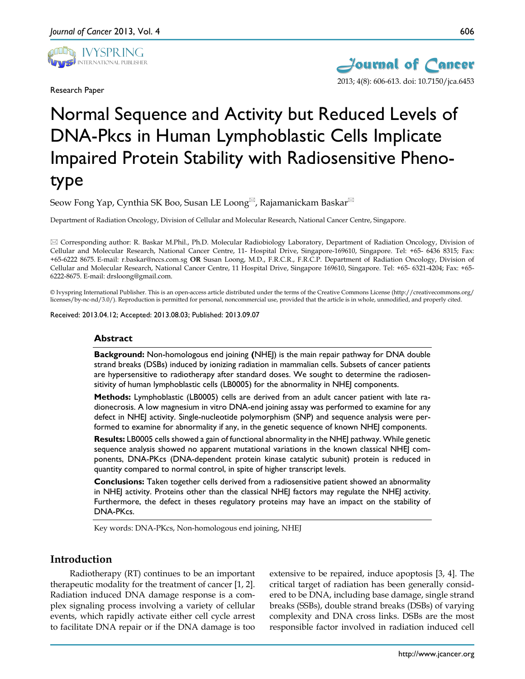

Research Paper



# Normal Sequence and Activity but Reduced Levels of DNA-Pkcs in Human Lymphoblastic Cells Implicate Impaired Protein Stability with Radiosensitive Phenotype

Seow Fong Yap, Cynthia SK Boo, Susan LE Loong Rajamanickam Baskar

Department of Radiation Oncology, Division of Cellular and Molecular Research, National Cancer Centre, Singapore.

 Corresponding author: R. Baskar M.Phil., Ph.D. Molecular Radiobiology Laboratory, Department of Radiation Oncology, Division of Cellular and Molecular Research, National Cancer Centre, 11- Hospital Drive, Singapore-169610, Singapore. Tel: +65- 6436 8315; Fax: +65-6222 8675. E-mail: r.baskar@nccs.com.sg **OR** Susan Loong, M.D., F.R.C.R., F.R.C.P. Department of Radiation Oncology, Division of Cellular and Molecular Research, National Cancer Centre, 11 Hospital Drive, Singapore 169610, Singapore. Tel: +65- 6321-4204; Fax: +65- 6222-8675. E-mail: drsloong@gmail.com.

© Ivyspring International Publisher. This is an open-access article distributed under the terms of the Creative Commons License (http://creativecommons.org/ licenses/by-nc-nd/3.0/). Reproduction is permitted for personal, noncommercial use, provided that the article is in whole, unmodified, and properly cited.

Received: 2013.04.12; Accepted: 2013.08.03; Published: 2013.09.07

#### **Abstract**

**Background:** Non-homologous end joining **(**NHEJ) is the main repair pathway for DNA double strand breaks (DSBs) induced by ionizing radiation in mammalian cells. Subsets of cancer patients are hypersensitive to radiotherapy after standard doses. We sought to determine the radiosensitivity of human lymphoblastic cells (LB0005) for the abnormality in NHEJ components.

**Methods:** Lymphoblastic (LB0005) cells are derived from an adult cancer patient with late radionecrosis. A low magnesium in vitro DNA-end joining assay was performed to examine for any defect in NHEJ activity. Single-nucleotide polymorphism (SNP) and sequence analysis were performed to examine for abnormality if any, in the genetic sequence of known NHEJ components.

**Results:** LB0005 cells showed a gain of functional abnormality in the NHEJ pathway. While genetic sequence analysis showed no apparent mutational variations in the known classical NHEJ components, DNA-PKcs (DNA-dependent protein kinase catalytic subunit) protein is reduced in quantity compared to normal control, in spite of higher transcript levels.

**Conclusions:** Taken together cells derived from a radiosensitive patient showed an abnormality in NHEJ activity. Proteins other than the classical NHEJ factors may regulate the NHEJ activity. Furthermore, the defect in theses regulatory proteins may have an impact on the stability of DNA-PKcs.

Key words: DNA-PKcs, Non-homologous end joining, NHEJ

# **Introduction**

Radiotherapy (RT) continues to be an important therapeutic modality for the treatment of cancer [1, 2]. Radiation induced DNA damage response is a complex signaling process involving a variety of cellular events, which rapidly activate either cell cycle arrest to facilitate DNA repair or if the DNA damage is too

extensive to be repaired, induce apoptosis [3, 4]. The critical target of radiation has been generally considered to be DNA, including base damage, single strand breaks (SSBs), double strand breaks (DSBs) of varying complexity and DNA cross links. DSBs are the most responsible factor involved in radiation induced cell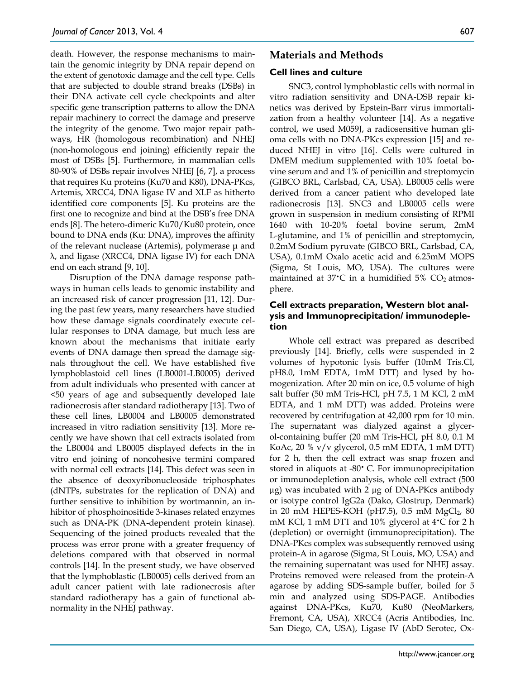death. However, the response mechanisms to maintain the genomic integrity by DNA repair depend on the extent of genotoxic damage and the cell type. Cells that are subjected to double strand breaks (DSBs) in their DNA activate cell cycle checkpoints and alter specific gene transcription patterns to allow the DNA repair machinery to correct the damage and preserve the integrity of the genome. Two major repair pathways, HR (homologous recombination) and NHEJ (non-homologous end joining) efficiently repair the most of DSBs [5]. Furthermore, in mammalian cells 80-90% of DSBs repair involves NHEJ [6, 7], a process that requires Ku proteins (Ku70 and K80), DNA-PKcs, Artemis, XRCC4, DNA ligase IV and XLF as hitherto identified core components [5]. Ku proteins are the first one to recognize and bind at the DSB's free DNA ends [8]. The hetero-dimeric Ku70/Ku80 protein, once bound to DNA ends (Ku: DNA), improves the affinity of the relevant nuclease (Artemis), polymerase μ and λ, and ligase (XRCC4, DNA ligase IV) for each DNA end on each strand [9, 10].

Disruption of the DNA damage response pathways in human cells leads to genomic instability and an increased risk of cancer progression [11, 12]. During the past few years, many researchers have studied how these damage signals coordinately execute cellular responses to DNA damage, but much less are known about the mechanisms that initiate early events of DNA damage then spread the damage signals throughout the cell. We have established five lymphoblastoid cell lines (LB0001-LB0005) derived from adult individuals who presented with cancer at <50 years of age and subsequently developed late radionecrosis after standard radiotherapy [13]. Two of these cell lines, LB0004 and LB0005 demonstrated increased in vitro radiation sensitivity [13]. More recently we have shown that cell extracts isolated from the LB0004 and LB0005 displayed defects in the in vitro end joining of noncohesive termini compared with normal cell extracts [14]. This defect was seen in the absence of deoxyribonucleoside triphosphates (dNTPs, substrates for the replication of DNA) and further sensitive to inhibition by wortmannin, an inhibitor of phosphoinositide 3-kinases related enzymes such as DNA-PK (DNA-dependent protein kinase). Sequencing of the joined products revealed that the process was error prone with a greater frequency of deletions compared with that observed in normal controls [14]. In the present study, we have observed that the lymphoblastic (LB0005) cells derived from an adult cancer patient with late radionecrosis after standard radiotherapy has a gain of functional abnormality in the NHEJ pathway.

# **Materials and Methods**

#### **Cell lines and culture**

SNC3, control lymphoblastic cells with normal in vitro radiation sensitivity and DNA-DSB repair kinetics was derived by Epstein-Barr virus immortalization from a healthy volunteer [14]. As a negative control, we used M059J, a radiosensitive human glioma cells with no DNA-PKcs expression [15] and reduced NHEJ in vitro [16]. Cells were cultured in DMEM medium supplemented with 10% foetal bovine serum and and 1% of penicillin and streptomycin (GIBCO BRL, Carlsbad, CA, USA). LB0005 cells were derived from a cancer patient who developed late radionecrosis [13]. SNC3 and LB0005 cells were grown in suspension in medium consisting of RPMI 1640 with 10-20% foetal bovine serum, 2mM L-glutamine, and 1% of penicillin and streptomycin, 0.2mM Sodium pyruvate (GIBCO BRL, Carlsbad, CA, USA), 0.1mM Oxalo acetic acid and 6.25mM MOPS (Sigma, St Louis, MO, USA). The cultures were maintained at 37 $\cdot$ C in a humidified 5% CO<sub>2</sub> atmosphere.

# **Cell extracts preparation, Western blot analysis and Immunoprecipitation/ immunodepletion**

Whole cell extract was prepared as described previously [14]. Briefly, cells were suspended in 2 volumes of hypotonic lysis buffer (10mM Tris.Cl, pH8.0, 1mM EDTA, 1mM DTT) and lysed by homogenization. After 20 min on ice, 0.5 volume of high salt buffer (50 mM Tris-HCl, pH 7.5, 1 M KCl, 2 mM EDTA, and 1 mM DTT) was added. Proteins were recovered by centrifugation at 42,000 rpm for 10 min. The supernatant was dialyzed against a glycerol-containing buffer (20 mM Tris-HCl, pH 8.0, 0.1 M KoAc, 20 % v/v glycerol, 0.5 mM EDTA, 1 mM DTT) for 2 h, then the cell extract was snap frozen and stored in aliquots at -80• C. For immunoprecipitation or immunodepletion analysis, whole cell extract (500 µg) was incubated with 2 µg of DNA-PKcs antibody or isotype control IgG2a (Dako, Glostrup, Denmark) in 20 mM HEPES-KOH (pH7.5), 0.5 mM MgCl<sub>2</sub>, 80 mM KCl, 1 mM DTT and 10% glycerol at 4•C for 2 h (depletion) or overnight (immunoprecipitation). The DNA-PKcs complex was subsequently removed using protein-A in agarose (Sigma, St Louis, MO, USA) and the remaining supernatant was used for NHEJ assay. Proteins removed were released from the protein-A agarose by adding SDS-sample buffer, boiled for 5 min and analyzed using SDS-PAGE. Antibodies against DNA-PKcs, Ku70, Ku80 (NeoMarkers, Fremont, CA, USA), XRCC4 (Acris Antibodies, Inc. San Diego, CA, USA), Ligase IV (AbD Serotec, Ox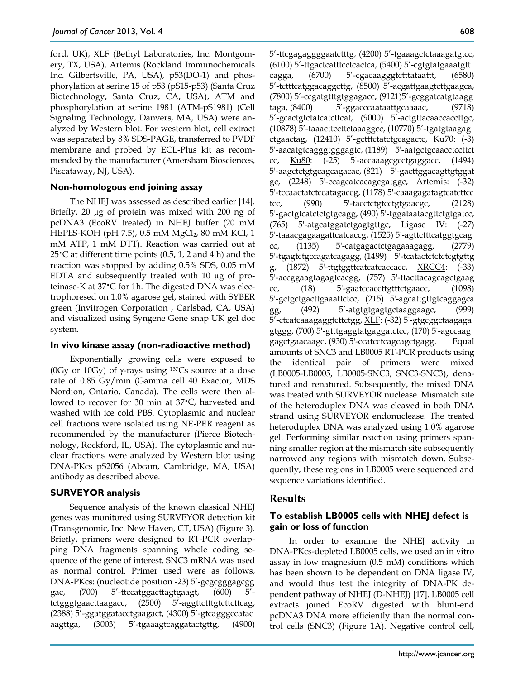ford, UK), XLF (Bethyl Laboratories, Inc. Montgomery, TX, USA), Artemis (Rockland Immunochemicals Inc. Gilbertsville, PA, USA), p53(DO-1) and phosphorylation at serine 15 of p53 (pS15-p53) (Santa Cruz Biotechnology, Santa Cruz, CA, USA), ATM and phosphorylation at serine 1981 (ATM-pS1981) (Cell Signaling Technology, Danvers, MA, USA) were analyzed by Western blot. For western blot, cell extract was separated by 8% SDS-PAGE, transferred to PVDF membrane and probed by ECL-Plus kit as recommended by the manufacturer (Amersham Biosciences, Piscataway, NJ, USA).

## **Non-homologous end joining assay**

The NHEJ was assessed as described earlier [14]. Briefly, 20  $\mu$ g of protein was mixed with 200 ng of pcDNA3 (EcoRV treated) in NHEJ buffer (20 mM HEPES-KOH (pH 7.5), 0.5 mM  $MgCl<sub>2</sub>$ , 80 mM KCl, 1 mM ATP, 1 mM DTT). Reaction was carried out at 25<sup> $\cdot$ </sup>C at different time points (0.5, 1, 2 and 4 h) and the reaction was stopped by adding 0.5% SDS, 0.05 mM EDTA and subsequently treated with 10 µg of proteinase-K at 37•C for 1h. The digested DNA was electrophoresed on 1.0% agarose gel, stained with SYBER green (Invitrogen Corporation , Carlsbad, CA, USA) and visualized using Syngene Gene snap UK gel doc system.

## **In vivo kinase assay (non-radioactive method)**

Exponentially growing cells were exposed to (0Gy or 10Gy) of  $\gamma$ -rays using <sup>137</sup>Cs source at a dose rate of 0.85 Gy/min (Gamma cell 40 Exactor, MDS Nordion, Ontario, Canada). The cells were then allowed to recover for 30 min at 37•C, harvested and washed with ice cold PBS. Cytoplasmic and nuclear cell fractions were isolated using NE-PER reagent as recommended by the manufacturer (Pierce Biotechnology, Rockford, IL, USA). The cytoplasmic and nuclear fractions were analyzed by Western blot using DNA-PKcs pS2056 (Abcam, Cambridge, MA, USA) antibody as described above.

## **SURVEYOR analysis**

Sequence analysis of the known classical NHEJ genes was monitored using SURVEYOR detection kit (Transgenomic, Inc. New Haven, CT, USA) (Figure 3). Briefly, primers were designed to RT-PCR overlapping DNA fragments spanning whole coding sequence of the gene of interest. SNC3 mRNA was used as normal control. Primer used were as follows, DNA-PKcs: (nucleotide position -23) 5'-gcgcgggagcgg gac, (700) 5'-ttccatggacttagtgaagt, (600) 5' tctgggtgaacttaagacc, (2500) 5'-aggttctttgtcttcttcag, (2388) 5'-ggatggatacctgaagact, (4300) 5'-gtcagggccatac aagttga, (3003) 5'-tgaaagtcaggatactgttg, (4900)

5'-ttcgagaggggaatctttg, (4200) 5'-tgaaagctctaaagatgtcc, (6100) 5'-ttgactcatttcctcactca, (5400) 5'-cgtgtatgaaatgtt cagga, (6700) 5'-cgacaagggtctttataattt, (6580) 5'-tctttcatggacaggcttg, (8500) 5'-acgattgaagtcttgaagca, (7800) 5'-ccgatgtttgtggagacc, (9121)5'-gcggatcatgtaagg taga, (8400) 5'-ggacccaataattgcaaaac, (9718) 5'-gcactgtctatcatcttcat, (9000) 5'-actgttacaaccaccttgc, (10878) 5'-taaacttccttctaaaggcc, (10770) 5'-tgatgtaagag ctgaactag, (12410) 5'-gctttctatctgcagactc, Ku70: (-3) 5'-aacatgtcagggtgggagtc, (1189) 5'-aatgctgcaacctccttct cc, Ku80: (-25) 5'-accaaagcgcctgaggacc, (1494) 5'-aagctctgtgcagcagacac, (821) 5'-gacttggacagttgtggat gc, (2248) 5'-ccagcatcacagcgatggc, Artemis: (-32) 5'-tccaactatctccatagaccg, (1178) 5'-caaagagatagtcatcttcc tcc, (990) 5'-tacctctgtcctgtgaacgc, (2128) 5'-gactgtcatctctgtgcagg, (490) 5'-tggataatacgttctgtgatcc, (765) 5'-atgcatggatctgagtgttgc, Ligase IV: (-27) 5'-taaacgagaagattcatcaccg, (1525) 5'-agttctttcatggtgcag cc, (1135) 5'-catgagactctgagaaagagg, (2779) 5'-tgagtctgccagatcagagg, (1499) 5'-tcatactctctctcgtgttg g,  $(1872)$  5'-ttgtggttcatcatcaccacc,  $XRCC4$ :  $(-33)$ 5'-accggaagtagagtcacgg, (757) 5'-ttacttacagcagctgaag cc, (18) 5'-gaatccaccttgtttctgaacc, (1098) 5'-gctgctgacttgaaattctcc, (215) 5'-agcattgttgtcaggagca gg, (492) 5'-atgtgtgagtgctaaggaagc, (999) 5'-ctcatcaaagaggtcttctgg, XLF: (-32) 5'-gtgcggctaagaga gtggg, (700) 5'-gtttgaggtatgaggatctcc, (170) 5'-agccaag gagctgaacaagc, (930) 5'-ccatcctcagcagctgagg. Equal amounts of SNC3 and LB0005 RT-PCR products using the identical pair of primers were mixed (LB0005-LB0005, LB0005-SNC3, SNC3-SNC3), denatured and renatured. Subsequently, the mixed DNA was treated with SURVEYOR nuclease. Mismatch site of the heteroduplex DNA was cleaved in both DNA strand using SURVEYOR endonuclease. The treated heteroduplex DNA was analyzed using 1.0% agarose gel. Performing similar reaction using primers spanning smaller region at the mismatch site subsequently narrowed any regions with mismatch down. Subsequently, these regions in LB0005 were sequenced and sequence variations identified.

# **Results**

# **To establish LB0005 cells with NHEJ defect is gain or loss of function**

In order to examine the NHEJ activity in DNA-PKcs-depleted LB0005 cells, we used an in vitro assay in low magnesium (0.5 mM) conditions which has been shown to be dependent on DNA ligase IV, and would thus test the integrity of DNA-PK dependent pathway of NHEJ (D-NHEJ) [17]. LB0005 cell extracts joined EcoRV digested with blunt-end pcDNA3 DNA more efficiently than the normal control cells (SNC3) (Figure 1A). Negative control cell,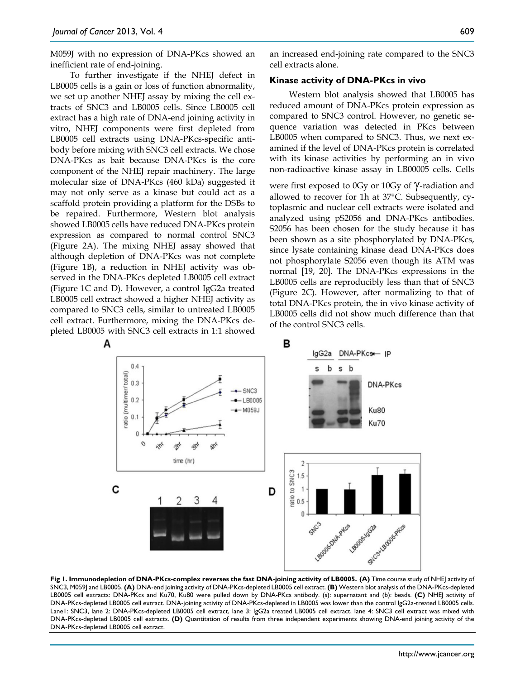M059J with no expression of DNA-PKcs showed an inefficient rate of end-joining.

To further investigate if the NHEJ defect in LB0005 cells is a gain or loss of function abnormality, we set up another NHEJ assay by mixing the cell extracts of SNC3 and LB0005 cells. Since LB0005 cell extract has a high rate of DNA-end joining activity in vitro, NHEJ components were first depleted from LB0005 cell extracts using DNA-PKcs-specific antibody before mixing with SNC3 cell extracts. We chose DNA-PKcs as bait because DNA-PKcs is the core component of the NHEJ repair machinery. The large molecular size of DNA-PKcs (460 kDa) suggested it may not only serve as a kinase but could act as a scaffold protein providing a platform for the DSBs to be repaired. Furthermore, Western blot analysis showed LB0005 cells have reduced DNA-PKcs protein expression as compared to normal control SNC3 (Figure 2A). The mixing NHEJ assay showed that although depletion of DNA-PKcs was not complete (Figure 1B), a reduction in NHEJ activity was observed in the DNA-PKcs depleted LB0005 cell extract (Figure 1C and D). However, a control IgG2a treated LB0005 cell extract showed a higher NHEJ activity as compared to SNC3 cells, similar to untreated LB0005 cell extract. Furthermore, mixing the DNA-PKcs depleted LB0005 with SNC3 cell extracts in 1:1 showed

an increased end-joining rate compared to the SNC3 cell extracts alone.

#### **Kinase activity of DNA-PKcs in vivo**

Western blot analysis showed that LB0005 has reduced amount of DNA-PKcs protein expression as compared to SNC3 control. However, no genetic sequence variation was detected in PKcs between LB0005 when compared to SNC3. Thus, we next examined if the level of DNA-PKcs protein is correlated with its kinase activities by performing an in vivo non-radioactive kinase assay in LB00005 cells. Cells

were first exposed to 0Gy or 10Gy of  $\gamma$ -radiation and allowed to recover for 1h at 37°C. Subsequently, cytoplasmic and nuclear cell extracts were isolated and analyzed using pS2056 and DNA-PKcs antibodies. S2056 has been chosen for the study because it has been shown as a site phosphorylated by DNA-PKcs, since lysate containing kinase dead DNA-PKcs does not phosphorylate S2056 even though its ATM was normal [19, 20]. The DNA-PKcs expressions in the LB0005 cells are reproducibly less than that of SNC3 (Figure 2C). However, after normalizing to that of total DNA-PKcs protein, the in vivo kinase activity of LB0005 cells did not show much difference than that of the control SNC3 cells.



**Fig 1. Immunodepletion of DNA-PKcs-complex reverses the fast DNA-joining activity of LB0005. (A)** Time course study of NHEJ activity of SNC3, M059J and LB0005. **(A)** DNA-end joining activity of DNA-PKcs-depleted LB0005 cell extract. **(B)** Western blot analysis of the DNA-PKcs-depleted LB0005 cell extracts: DNA-PKcs and Ku70, Ku80 were pulled down by DNA-PKcs antibody. (s): supernatant and (b): beads. **(C)** NHEJ activity of DNA-PKcs-depleted LB0005 cell extract. DNA-joining activity of DNA-PKcs-depleted in LB0005 was lower than the control IgG2a-treated LB0005 cells. Lane1: SNC3, lane 2: DNA-PKcs-depleted LB0005 cell extract, lane 3: IgG2a treated LB0005 cell extract, lane 4: SNC3 cell extract was mixed with DNA-PKcs-depleted LB0005 cell extracts. **(D)** Quantitation of results from three independent experiments showing DNA-end joining activity of the DNA-PKcs-depleted LB0005 cell extract.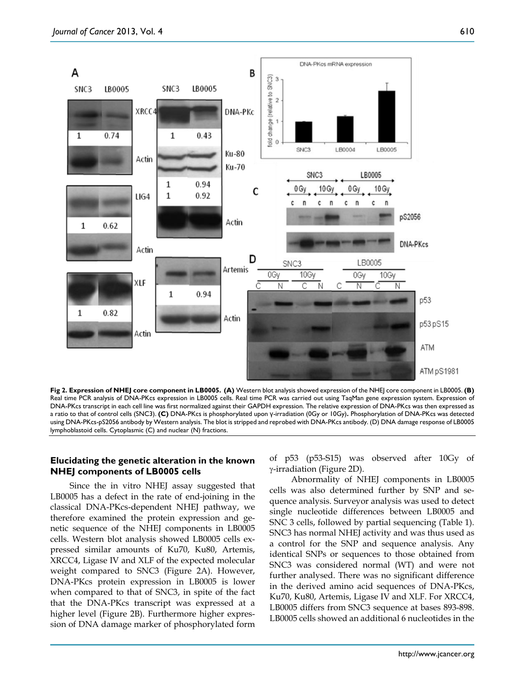610



**Fig 2. Expression of NHEJ core component in LB0005. (A)** Western blot analysis showed expression of the NHEJ core component in LB0005. **(B)** Real time PCR analysis of DNA-PKcs expression in LB0005 cells. Real time PCR was carried out using TaqMan gene expression system. Expression of DNA-PKcs transcript in each cell line was first normalized against their GAPDH expression. The relative expression of DNA-PKcs was then expressed as a ratio to that of control cells (SNC3). **(C)** DNA-PKcs is phosphorylated upon γ-irradiation (0Gy or 10Gy)**.** Phosphorylation of DNA-PKcs was detected using DNA-PKcs-pS2056 antibody by Western analysis. The blot is stripped and reprobed with DNA-PKcs antibody. (D) DNA damage response of LB0005 lymphoblastoid cells. Cytoplasmic (C) and nuclear (N) fractions.

## **Elucidating the genetic alteration in the known NHEJ components of LB0005 cells**

Since the in vitro NHEJ assay suggested that LB0005 has a defect in the rate of end-joining in the classical DNA-PKcs-dependent NHEJ pathway, we therefore examined the protein expression and genetic sequence of the NHEJ components in LB0005 cells. Western blot analysis showed LB0005 cells expressed similar amounts of Ku70, Ku80, Artemis, XRCC4, Ligase IV and XLF of the expected molecular weight compared to SNC3 (Figure 2A). However, DNA-PKcs protein expression in LB0005 is lower when compared to that of SNC3, in spite of the fact that the DNA-PKcs transcript was expressed at a higher level (Figure 2B). Furthermore higher expression of DNA damage marker of phosphorylated form

of p53 (p53-S15) was observed after 10Gy of γ-irradiation (Figure 2D).

Abnormality of NHEJ components in LB0005 cells was also determined further by SNP and sequence analysis. Surveyor analysis was used to detect single nucleotide differences between LB0005 and SNC 3 cells, followed by partial sequencing (Table 1). SNC3 has normal NHEJ activity and was thus used as a control for the SNP and sequence analysis. Any identical SNPs or sequences to those obtained from SNC3 was considered normal (WT) and were not further analysed. There was no significant difference in the derived amino acid sequences of DNA-PKcs, Ku70, Ku80, Artemis, Ligase IV and XLF. For XRCC4, LB0005 differs from SNC3 sequence at bases 893-898. LB0005 cells showed an additional 6 nucleotides in the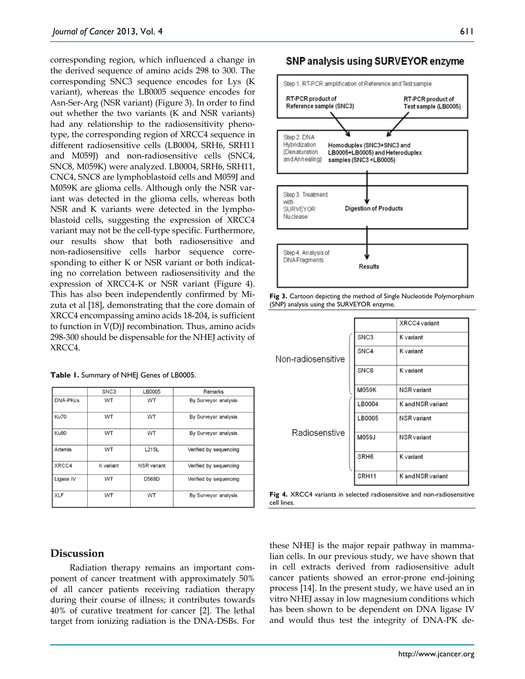corresponding region, which influenced a change in the derived sequence of amino acids 298 to 300. The corresponding SNC3 sequence encodes for Lys (K variant), whereas the LB0005 sequence encodes for Asn-Ser-Arg (NSR variant) (Figure 3). In order to find out whether the two variants (K and NSR variants) had any relationship to the radiosensitivity phenotype, the corresponding region of XRCC4 sequence in different radiosensitive cells (LB0004, SRH6, SRH11 and M059J) and non-radiosensitive cells (SNC4, SNC8, M059K) were analyzed. LB0004, SRH6, SRH11, CNC4, SNC8 are lymphoblastoid cells and M059J and M059K are glioma cells. Although only the NSR variant was detected in the glioma cells, whereas both NSR and K variants were detected in the lymphoblastoid cells, suggesting the expression of XRCC4 variant may not be the cell-type specific. Furthermore, our results show that both radiosensitive and non-radiosensitive cells harbor sequence corresponding to either K or NSR variant or both indicating no correlation between radiosensitivity and the expression of XRCC4-K or NSR variant (Figure 4). This has also been independently confirmed by Mizuta et al [18], demonstrating that the core domain of XRCC4 encompassing amino acids 18-204, is sufficient to function in V(D)J recombination. Thus, amino acids 298-300 should be dispensable for the NHEJ activity of XRCC4.

Table 1. Summary of NHEJ Genes of LB0005.

|                 | SNC <sub>3</sub> | LB0005             | Remarks                |
|-----------------|------------------|--------------------|------------------------|
| <b>DNA-PKcs</b> | <b>WT</b>        | <b>WT</b>          | By Surveyor analysis   |
| Ku70            | <b>WT</b>        | WT                 | By Surveyor analysis   |
| <b>Ku80</b>     | <b>WT</b>        | <b>WT</b>          | By Surveyor analysis   |
| Artemis         | WT               | L215L              | Verified by sequencing |
| XRCC4           | K variant        | <b>NSR</b> variant | Verified by sequencing |
| Ligase IV       | <b>WT</b>        | <b>D568D</b>       | Verified by sequencing |
| <b>XLF</b>      | <b>WT</b>        | WT                 | By Surveyor analysis   |

# SNP analysis using SURVEYOR enzyme



**Fig 3.** Cartoon depicting the method of Single Nucleotide Polymorphism (SNP) analysis using the SURVEYOR enzyme.

|                    |  |                  | XRCC4 variant      |
|--------------------|--|------------------|--------------------|
| Non-radiosensitive |  | SNC <sub>3</sub> | K variant          |
|                    |  | SNC4             | K variant          |
|                    |  | SNC <sub>8</sub> | K variant          |
|                    |  | M059K            | <b>NSR</b> variant |
|                    |  | LB0004           | K and NSR variant  |
| Radiosenstive      |  | LB0005           | <b>NSR</b> variant |
|                    |  | M059J            | <b>NSR</b> variant |
|                    |  | SRH <sub>6</sub> | K variant          |
|                    |  | SRH11            | K and NSR variant  |



# **Discussion**

Radiation therapy remains an important component of cancer treatment with approximately 50% of all cancer patients receiving radiation therapy during their course of illness; it contributes towards 40% of curative treatment for cancer [2]. The lethal target from ionizing radiation is the DNA-DSBs. For these NHEJ is the major repair pathway in mammalian cells. In our previous study, we have shown that in cell extracts derived from radiosensitive adult cancer patients showed an error-prone end-joining process [14]. In the present study, we have used an in vitro NHEJ assay in low magnesium conditions which has been shown to be dependent on DNA ligase IV and would thus test the integrity of DNA-PK de-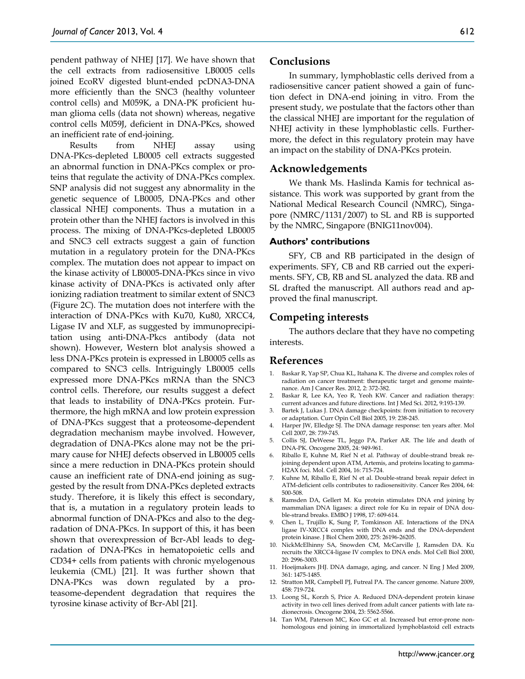pendent pathway of NHEJ [17]. We have shown that the cell extracts from radiosensitive LB0005 cells joined EcoRV digested blunt-ended pcDNA3-DNA more efficiently than the SNC3 (healthy volunteer control cells) and M059K, a DNA-PK proficient human glioma cells (data not shown) whereas, negative control cells M059J, deficient in DNA-PKcs, showed an inefficient rate of end-joining.

Results from NHEJ assay using DNA-PKcs-depleted LB0005 cell extracts suggested an abnormal function in DNA-PKcs complex or proteins that regulate the activity of DNA-PKcs complex. SNP analysis did not suggest any abnormality in the genetic sequence of LB0005, DNA-PKcs and other classical NHEJ components. Thus a mutation in a protein other than the NHEJ factors is involved in this process. The mixing of DNA-PKcs-depleted LB0005 and SNC3 cell extracts suggest a gain of function mutation in a regulatory protein for the DNA-PKcs complex. The mutation does not appear to impact on the kinase activity of LB0005-DNA-PKcs since in vivo kinase activity of DNA-PKcs is activated only after ionizing radiation treatment to similar extent of SNC3 (Figure 2C). The mutation does not interfere with the interaction of DNA-PKcs with Ku70, Ku80, XRCC4, Ligase IV and XLF, as suggested by immunoprecipitation using anti-DNA-Pkcs antibody (data not shown). However, Western blot analysis showed a less DNA-PKcs protein is expressed in LB0005 cells as compared to SNC3 cells. Intriguingly LB0005 cells expressed more DNA-PKcs mRNA than the SNC3 control cells. Therefore, our results suggest a defect that leads to instability of DNA-PKcs protein. Furthermore, the high mRNA and low protein expression of DNA-PKcs suggest that a proteosome-dependent degradation mechanism maybe involved. However, degradation of DNA-PKcs alone may not be the primary cause for NHEJ defects observed in LB0005 cells since a mere reduction in DNA-PKcs protein should cause an inefficient rate of DNA-end joining as suggested by the result from DNA-PKcs depleted extracts study. Therefore, it is likely this effect is secondary, that is, a mutation in a regulatory protein leads to abnormal function of DNA-PKcs and also to the degradation of DNA-PKcs. In support of this, it has been shown that overexpression of Bcr-Abl leads to degradation of DNA-PKcs in hematopoietic cells and CD34+ cells from patients with chronic myelogenous leukemia (CML) [21]. It was further shown that DNA-PKcs was down regulated by a proteasome-dependent degradation that requires the tyrosine kinase activity of Bcr-Abl [21].

#### **Conclusions**

In summary, lymphoblastic cells derived from a radiosensitive cancer patient showed a gain of function defect in DNA-end joining in vitro. From the present study, we postulate that the factors other than the classical NHEJ are important for the regulation of NHEJ activity in these lymphoblastic cells. Furthermore, the defect in this regulatory protein may have an impact on the stability of DNA-PKcs protein.

#### **Acknowledgements**

We thank Ms. Haslinda Kamis for technical assistance. This work was supported by grant from the National Medical Research Council (NMRC), Singapore (NMRC/1131/2007) to SL and RB is supported by the NMRC, Singapore (BNIG11nov004).

#### **Authors' contributions**

SFY, CB and RB participated in the design of experiments. SFY, CB and RB carried out the experiments. SFY, CB, RB and SL analyzed the data. RB and SL drafted the manuscript. All authors read and approved the final manuscript.

#### **Competing interests**

The authors declare that they have no competing interests.

#### **References**

- 1. Baskar R, Yap SP, Chua KL, Itahana K. The diverse and complex roles of radiation on cancer treatment: therapeutic target and genome maintenance. Am J Cancer Res. 2012, 2: 372-382.
- 2. Baskar R, Lee KA, Yeo R, Yeoh KW. Cancer and radiation therapy: current advances and future directions. Int J Med Sci. 2012, 9:193-139.
- Bartek J, Lukas J. DNA damage checkpoints: from initiation to recovery or adaptation. Curr Opin Cell Biol 2005, 19: 238-245.
- 4. Harper JW, Elledge SJ. The DNA damage response: ten years after. Mol Cell 2007, 28: 739-745.
- 5. Collis SJ, DeWeese TL, Jeggo PA, Parker AR. The life and death of DNA-PK. Oncogene 2005, 24: 949-961.
- 6. Riballo E, Kuhne M, Rief N et al. Pathway of double-strand break rejoining dependent upon ATM, Artemis, and proteins locating to gamma-H2AX foci. Mol. Cell 2004, 16: 715-724.
- 7. Kuhne M, Riballo E, Rief N et al. Double-strand break repair defect in ATM-deficient cells contributes to radiosensitivity. Cancer Res 2004, 64: 500-508.
- 8. Ramsden DA, Gellert M. Ku protein stimulates DNA end joining by mammalian DNA ligases: a direct role for Ku in repair of DNA double-strand breaks. EMBO J 1998, 17: 609-614.
- 9. Chen L, Trujillo K, Sung P, Tomkinson AE. Interactions of the DNA ligase IV-XRCC4 complex with DNA ends and the DNA-dependent protein kinase. J Biol Chem 2000, 275: 26196-26205.
- 10. NickMcElhinny SA, Snowden CM, McCarville J, Ramsden DA. Ku recruits the XRCC4-ligase IV complex to DNA ends. Mol Cell Biol 2000, 20: 2996-3003.
- 11. Hoeijmakers JHJ. DNA damage, aging, and cancer. N Eng J Med 2009, 361: 1475-1485.
- 12. Stratton MR, Campbell PJ, Futreal PA. The cancer genome. Nature 2009, 458: 719-724.
- 13. Loong SL, Korzh S, Price A. Reduced DNA-dependent protein kinase activity in two cell lines derived from adult cancer patients with late radionecrosis. Oncogene 2004, 23: 5562-5566.
- 14. Tan WM, Paterson MC, Koo GC et al. Increased but error-prone nonhomologous end joining in immortalized lymphoblastoid cell extracts